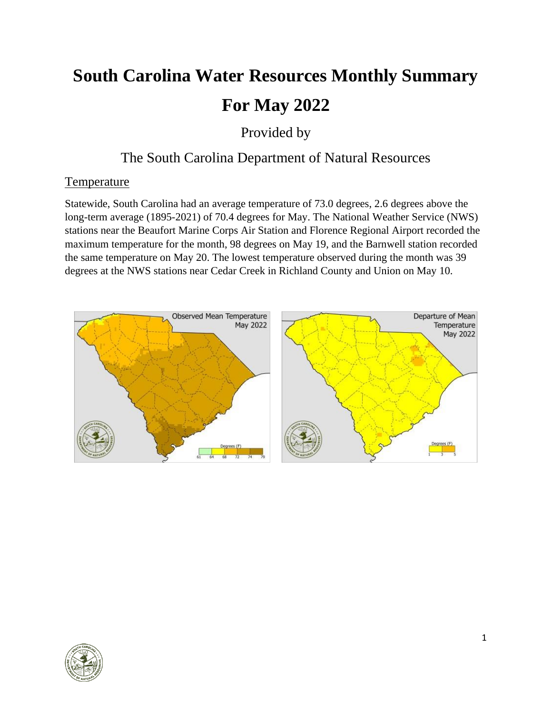# **South Carolina Water Resources Monthly Summary For May 2022**

Provided by

# The South Carolina Department of Natural Resources

# **Temperature**

Statewide, South Carolina had an average temperature of 73.0 degrees, 2.6 degrees above the long-term average (1895-2021) of 70.4 degrees for May. The National Weather Service (NWS) stations near the Beaufort Marine Corps Air Station and Florence Regional Airport recorded the maximum temperature for the month, 98 degrees on May 19, and the Barnwell station recorded the same temperature on May 20. The lowest temperature observed during the month was 39 degrees at the NWS stations near Cedar Creek in Richland County and Union on May 10.



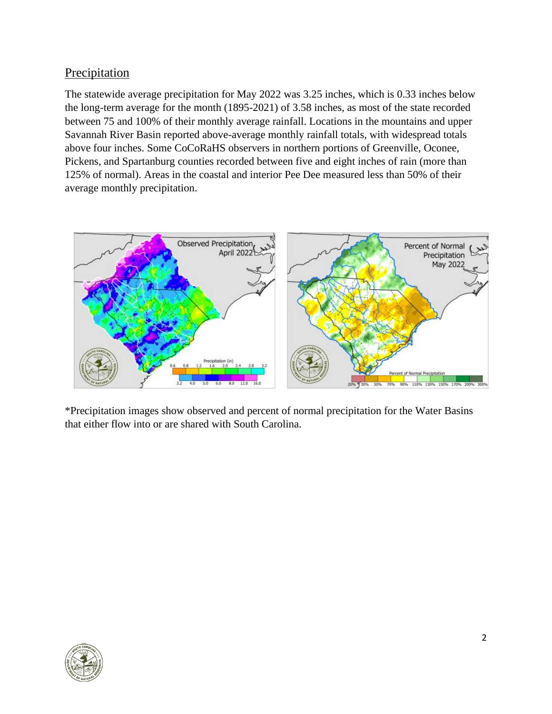# **Precipitation**

The statewide average precipitation for May 2022 was 3.25 inches, which is 0.33 inches below the long-term average for the month (1895-2021) of 3.58 inches, as most of the state recorded between 75 and 100% of their monthly average rainfall. Locations in the mountains and upper Savannah River Basin reported above-average monthly rainfall totals, with widespread totals above four inches. Some CoCoRaHS observers in northern portions of Greenville, Oconee, Pickens, and Spartanburg counties recorded between five and eight inches of rain (more than 125% of normal). Areas in the coastal and interior Pee Dee measured less than 50% of their average monthly precipitation.



\*Precipitation images show observed and percent of normal precipitation for the Water Basins that either flow into or are shared with South Carolina.

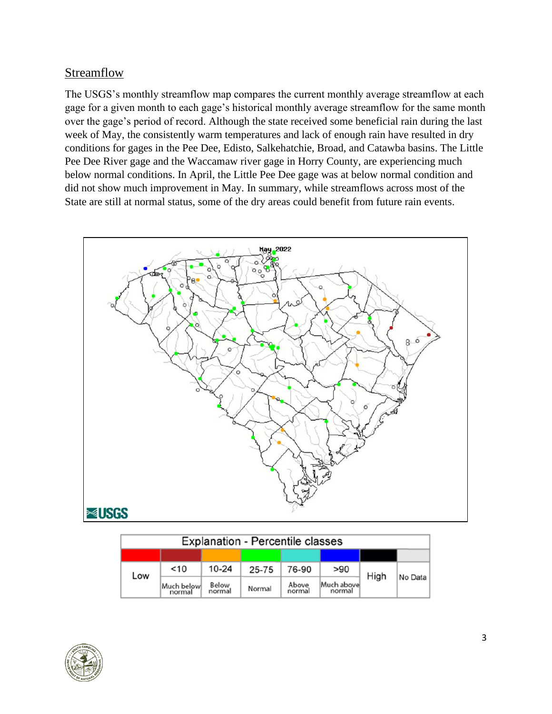#### **Streamflow**

The USGS's monthly streamflow map compares the current monthly average streamflow at each gage for a given month to each gage's historical monthly average streamflow for the same month over the gage's period of record. Although the state received some beneficial rain during the last week of May, the consistently warm temperatures and lack of enough rain have resulted in dry conditions for gages in the Pee Dee, Edisto, Salkehatchie, Broad, and Catawba basins. The Little Pee Dee River gage and the Waccamaw river gage in Horry County, are experiencing much below normal conditions. In April, the Little Pee Dee gage was at below normal condition and did not show much improvement in May. In summary, while streamflows across most of the State are still at normal status, some of the dry areas could benefit from future rain events.



| <b>Explanation - Percentile classes</b> |                      |                 |        |                 |                      |      |         |  |
|-----------------------------------------|----------------------|-----------------|--------|-----------------|----------------------|------|---------|--|
|                                         |                      |                 |        |                 |                      |      |         |  |
| Low                                     | $<$ 10               | $10 - 24$       | 25-75  | 76-90           | > 90                 | High |         |  |
|                                         | Much below<br>normal | Below<br>normal | Normal | Above<br>normal | Much above<br>normal |      | No Data |  |

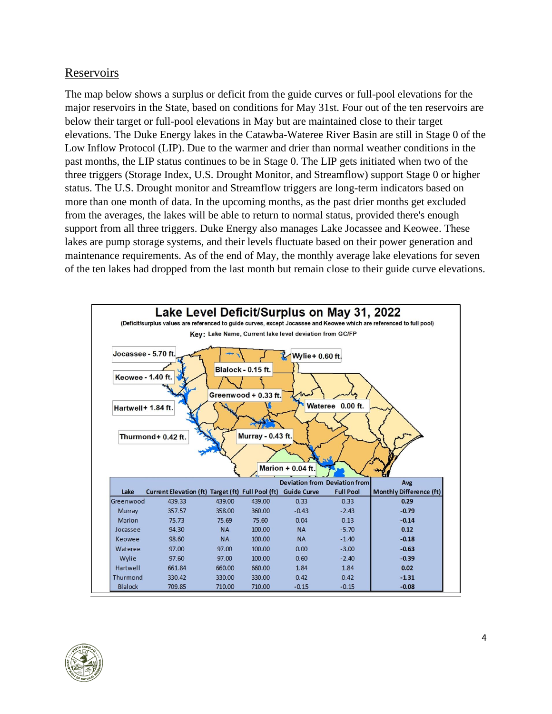#### Reservoirs

The map below shows a surplus or deficit from the guide curves or full-pool elevations for the major reservoirs in the State, based on conditions for May 31st. Four out of the ten reservoirs are below their target or full-pool elevations in May but are maintained close to their target elevations. The Duke Energy lakes in the Catawba-Wateree River Basin are still in Stage 0 of the Low Inflow Protocol (LIP). Due to the warmer and drier than normal weather conditions in the past months, the LIP status continues to be in Stage 0. The LIP gets initiated when two of the three triggers (Storage Index, U.S. Drought Monitor, and Streamflow) support Stage 0 or higher status. The U.S. Drought monitor and Streamflow triggers are long-term indicators based on more than one month of data. In the upcoming months, as the past drier months get excluded from the averages, the lakes will be able to return to normal status, provided there's enough support from all three triggers. Duke Energy also manages Lake Jocassee and Keowee. These lakes are pump storage systems, and their levels fluctuate based on their power generation and maintenance requirements. As of the end of May, the monthly average lake elevations for seven of the ten lakes had dropped from the last month but remain close to their guide curve elevations.



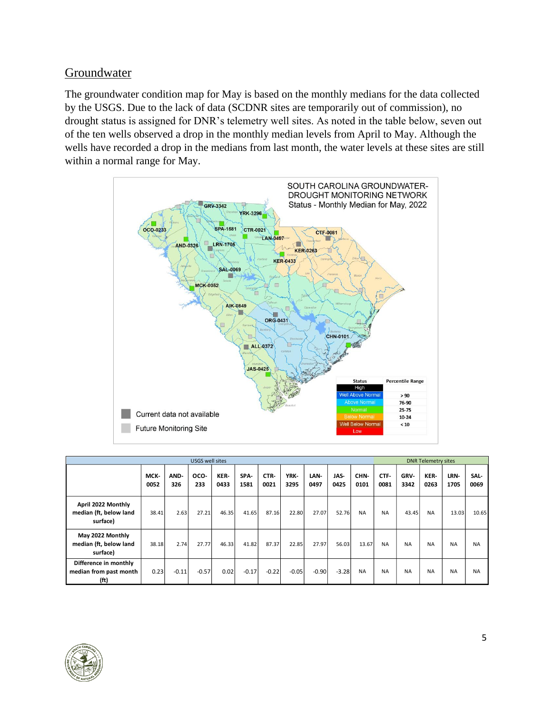#### Groundwater

The groundwater condition map for May is based on the monthly medians for the data collected by the USGS. Due to the lack of data (SCDNR sites are temporarily out of commission), no drought status is assigned for DNR's telemetry well sites. As noted in the table below, seven out of the ten wells observed a drop in the monthly median levels from April to May. Although the wells have recorded a drop in the medians from last month, the water levels at these sites are still within a normal range for May.



| <b>USGS well sites</b>                                   |              |             |             |              |              |              |              | <b>DNR Telemetry sites</b> |              |              |              |              |              |              |              |
|----------------------------------------------------------|--------------|-------------|-------------|--------------|--------------|--------------|--------------|----------------------------|--------------|--------------|--------------|--------------|--------------|--------------|--------------|
|                                                          | MCK-<br>0052 | AND-<br>326 | OCO-<br>233 | KER-<br>0433 | SPA-<br>1581 | CTR-<br>0021 | YRK-<br>3295 | LAN-<br>0497               | JAS-<br>0425 | CHN-<br>0101 | CTF-<br>0081 | GRV-<br>3342 | KER-<br>0263 | LRN-<br>1705 | SAL-<br>0069 |
| April 2022 Monthly<br>median (ft, below land<br>surface) | 38.41        | 2.63        | 27.21       | 46.35        | 41.65        | 87.16        | 22.80        | 27.07                      | 52.76        | <b>NA</b>    | <b>NA</b>    | 43.45        | <b>NA</b>    | 13.03        | 10.65        |
| May 2022 Monthly<br>median (ft, below land<br>surface)   | 38.18        | 2.74        | 27.77       | 46.33        | 41.82        | 87.37        | 22.85        | 27.97                      | 56.03        | 13.67        | <b>NA</b>    | <b>NA</b>    | <b>NA</b>    | <b>NA</b>    | <b>NA</b>    |
| Difference in monthly<br>median from past month<br>(ft)  | 0.23         | $-0.11$     | $-0.57$     | 0.02         | $-0.17$      | $-0.22$      | $-0.05$      | $-0.90$                    | $-3.28$      | <b>NA</b>    | <b>NA</b>    | <b>NA</b>    | <b>NA</b>    | <b>NA</b>    | <b>NA</b>    |

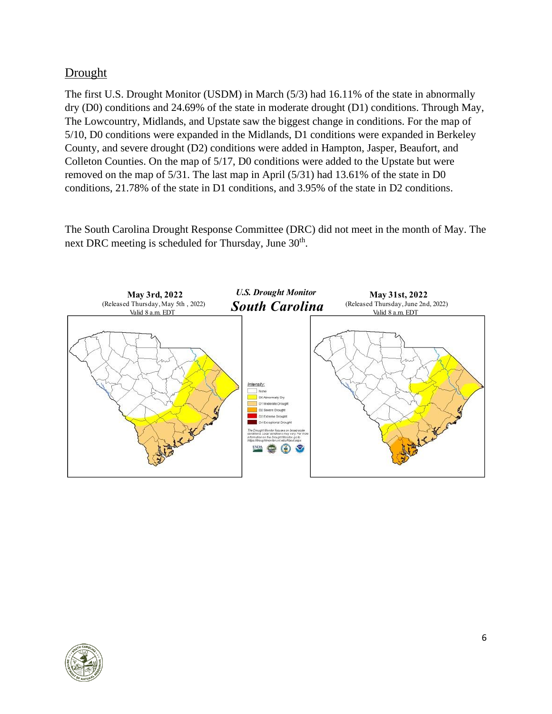# **Drought**

The first U.S. Drought Monitor (USDM) in March (5/3) had 16.11% of the state in abnormally dry (D0) conditions and 24.69% of the state in moderate drought (D1) conditions. Through May, The Lowcountry, Midlands, and Upstate saw the biggest change in conditions. For the map of 5/10, D0 conditions were expanded in the Midlands, D1 conditions were expanded in Berkeley County, and severe drought (D2) conditions were added in Hampton, Jasper, Beaufort, and Colleton Counties. On the map of 5/17, D0 conditions were added to the Upstate but were removed on the map of 5/31. The last map in April (5/31) had 13.61% of the state in D0 conditions, 21.78% of the state in D1 conditions, and 3.95% of the state in D2 conditions.

The South Carolina Drought Response Committee (DRC) did not meet in the month of May. The next DRC meeting is scheduled for Thursday, June 30<sup>th</sup>.